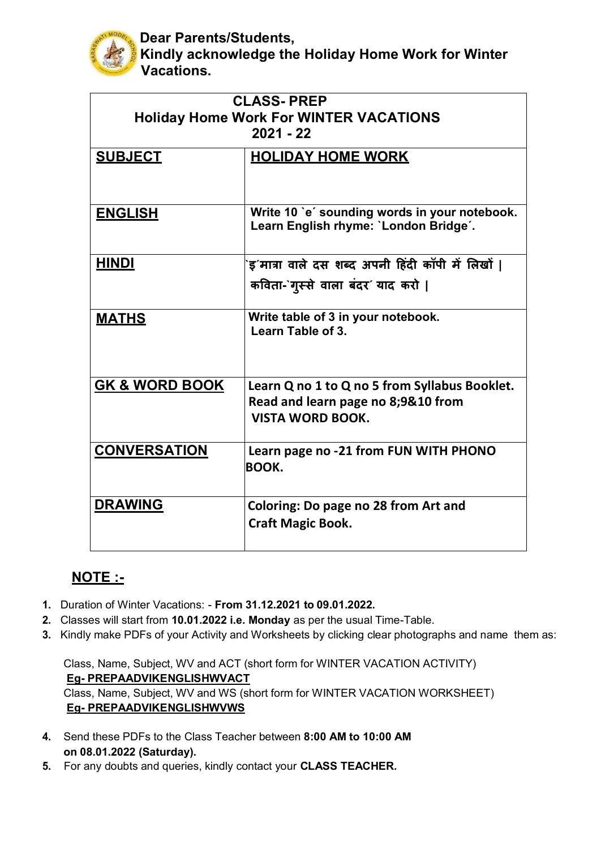

**Dear Parents/Students, Kindly acknowledge the Holiday Home Work for Winter Vacations.**

| <b>CLASS-PREP</b>                             |                                                 |
|-----------------------------------------------|-------------------------------------------------|
| <b>Holiday Home Work For WINTER VACATIONS</b> |                                                 |
| $2021 - 22$                                   |                                                 |
| <b>SUBJECT</b>                                | <b>HOLIDAY HOME WORK</b>                        |
|                                               |                                                 |
|                                               |                                                 |
| <b>ENGLISH</b>                                | Write 10 'e' sounding words in your notebook.   |
|                                               | Learn English rhyme: `London Bridge´.           |
|                                               |                                                 |
| <b>HINDI</b>                                  | इ´मात्रा वाले दस शब्द अपनी हिंदी कॉपी में लिखों |
|                                               | कविता-`गुस्से वाला बंदर' याद करो                |
|                                               |                                                 |
| <b>MATHS</b>                                  | Write table of 3 in your notebook.              |
|                                               | Learn Table of 3.                               |
|                                               |                                                 |
|                                               |                                                 |
| <b>GK &amp; WORD BOOK</b>                     | Learn Q no 1 to Q no 5 from Syllabus Booklet.   |
|                                               | Read and learn page no 8;9&10 from              |
|                                               | <b>VISTA WORD BOOK.</b>                         |
|                                               |                                                 |
| <b>CONVERSATION</b>                           | Learn page no -21 from FUN WITH PHONO           |
|                                               | BOOK.                                           |
|                                               |                                                 |
| <b>DRAWING</b>                                | Coloring: Do page no 28 from Art and            |
|                                               | <b>Craft Magic Book.</b>                        |
|                                               |                                                 |

## **NOTE :-**

- **1.** Duration of Winter Vacations: **From 31.12.2021 to 09.01.2022.**
- **2.** Classes will start from **10.01.2022 i.e. Monday** as per the usual Time-Table.
- **3.** Kindly make PDFs of your Activity and Worksheets by clicking clear photographs and name them as:

Class, Name, Subject, WV and ACT (short form for WINTER VACATION ACTIVITY) **Eg- PREPAADVIKENGLISHWVACT** Class, Name, Subject, WV and WS (short form for WINTER VACATION WORKSHEET) **Eg- PREPAADVIKENGLISHWVWS**

- **4.** Send these PDFs to the Class Teacher between **8:00 AM to 10:00 AM on 08.01.2022 (Saturday).**
- **5.** For any doubts and queries, kindly contact your **CLASS TEACHER.**